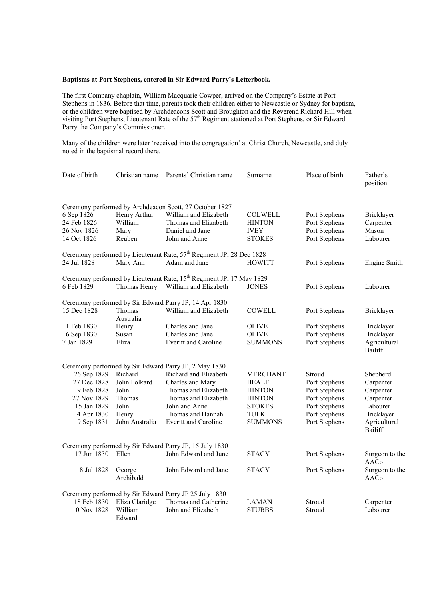## **Baptisms at Port Stephens, entered in Sir Edward Parry's Letterbook.**

The first Company chaplain, William Macquarie Cowper, arrived on the Company's Estate at Port Stephens in 1836. Before that time, parents took their children either to Newcastle or Sydney for baptism, or the children were baptised by Archdeacons Scott and Broughton and the Reverend Richard Hill when visiting Port Stephens, Lieutenant Rate of the 57<sup>th</sup> Regiment stationed at Port Stephens, or Sir Edward Parry the Company's Commissioner.

Many of the children were later 'received into the congregation' at Christ Church, Newcastle, and duly noted in the baptismal record there.

| Date of birth | Christian name      | Parents' Christian name                                                          | Surname         | Place of birth | Father's<br>position           |
|---------------|---------------------|----------------------------------------------------------------------------------|-----------------|----------------|--------------------------------|
|               |                     | Ceremony performed by Archdeacon Scott, 27 October 1827                          |                 |                |                                |
| 6 Sep 1826    | Henry Arthur        | William and Elizabeth                                                            | <b>COLWELL</b>  | Port Stephens  | Bricklayer                     |
| 24 Feb 1826   | William             | Thomas and Elizabeth                                                             | <b>HINTON</b>   | Port Stephens  | Carpenter                      |
| 26 Nov 1826   | Mary                | Daniel and Jane                                                                  | <b>IVEY</b>     | Port Stephens  | Mason                          |
| 14 Oct 1826   | Reuben              | John and Anne                                                                    | <b>STOKES</b>   | Port Stephens  | Labourer                       |
|               |                     | Ceremony performed by Lieutenant Rate, 57 <sup>th</sup> Regiment JP, 28 Dec 1828 |                 |                |                                |
| 24 Jul 1828   | Mary Ann            | Adam and Jane                                                                    | <b>HOWITT</b>   | Port Stephens  | Engine Smith                   |
|               |                     | Ceremony performed by Lieutenant Rate, 15 <sup>th</sup> Regiment JP, 17 May 1829 |                 |                |                                |
| 6 Feb 1829    | Thomas Henry        | William and Elizabeth                                                            | <b>JONES</b>    | Port Stephens  | Labourer                       |
|               |                     | Ceremony performed by Sir Edward Parry JP, 14 Apr 1830                           |                 |                |                                |
| 15 Dec 1828   | Thomas<br>Australia | William and Elizabeth                                                            | <b>COWELL</b>   | Port Stephens  | Bricklayer                     |
| 11 Feb 1830   | Henry               | Charles and Jane                                                                 | <b>OLIVE</b>    | Port Stephens  | Bricklayer                     |
| 16 Sep 1830   | Susan               | Charles and Jane                                                                 | <b>OLIVE</b>    | Port Stephens  | Bricklayer                     |
| 7 Jan 1829    | Eliza               | <b>Everitt and Caroline</b>                                                      | <b>SUMMONS</b>  | Port Stephens  | Agricultural<br><b>Bailiff</b> |
|               |                     | Ceremony performed by Sir Edward Parry JP, 2 May 1830                            |                 |                |                                |
| 26 Sep 1829   | Richard             | Richard and Elizabeth                                                            | <b>MERCHANT</b> | Stroud         | Shepherd                       |
| 27 Dec 1828   | John Folkard        | Charles and Mary                                                                 | <b>BEALE</b>    | Port Stephens  | Carpenter                      |
| 9 Feb 1828    | John                | Thomas and Elizabeth                                                             | <b>HINTON</b>   | Port Stephens  | Carpenter                      |
| 27 Nov 1829   | Thomas              | Thomas and Elizabeth                                                             | <b>HINTON</b>   | Port Stephens  | Carpenter                      |
| 15 Jan 1829   | John                | John and Anne                                                                    | <b>STOKES</b>   | Port Stephens  | Labourer                       |
| 4 Apr 1830    | Henry               | Thomas and Hannah                                                                | <b>TULK</b>     | Port Stephens  | Bricklayer                     |
| 9 Sep 1831    | John Australia      | <b>Everitt and Caroline</b>                                                      | <b>SUMMONS</b>  | Port Stephens  | Agricultural<br>Bailiff        |
|               |                     | Ceremony performed by Sir Edward Parry JP, 15 July 1830                          |                 |                |                                |
| 17 Jun 1830   | Ellen               | John Edward and June                                                             | <b>STACY</b>    | Port Stephens  | Surgeon to the<br>AACo         |
| 8 Jul 1828    | George<br>Archibald | John Edward and Jane                                                             | <b>STACY</b>    | Port Stephens  | Surgeon to the<br>AACo         |
|               |                     | Ceremony performed by Sir Edward Parry JP 25 July 1830                           |                 |                |                                |
| 18 Feb 1830   | Eliza Claridge      | Thomas and Catherine                                                             | <b>LAMAN</b>    | Stroud         | Carpenter                      |
| 10 Nov 1828   | William<br>Edward   | John and Elizabeth                                                               | <b>STUBBS</b>   | Stroud         | Labourer                       |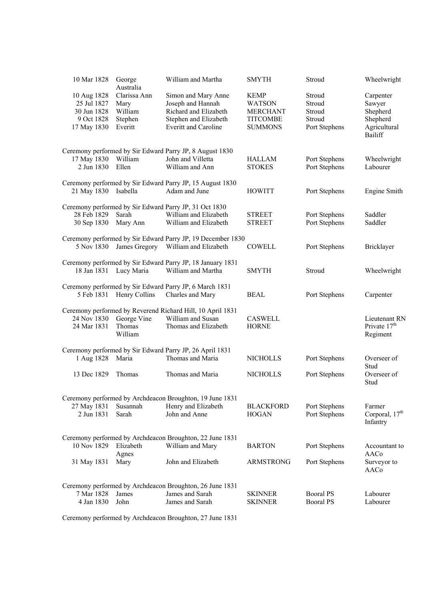| 10 Mar 1828                                             | George<br>Australia                        | William and Martha                                                                                      | <b>SMYTH</b>                                                       | Stroud                               | Wheelwright                                           |
|---------------------------------------------------------|--------------------------------------------|---------------------------------------------------------------------------------------------------------|--------------------------------------------------------------------|--------------------------------------|-------------------------------------------------------|
| 10 Aug 1828<br>25 Jul 1827<br>30 Jun 1828<br>9 Oct 1828 | Clarissa Ann<br>Mary<br>William<br>Stephen | Simon and Mary Anne<br>Joseph and Hannah<br>Richard and Elizabeth<br>Stephen and Elizabeth              | <b>KEMP</b><br><b>WATSON</b><br><b>MERCHANT</b><br><b>TITCOMBE</b> | Stroud<br>Stroud<br>Stroud<br>Stroud | Carpenter<br>Sawyer<br>Shepherd<br>Shepherd           |
| 17 May 1830                                             | Everitt                                    | <b>Everitt and Caroline</b>                                                                             | <b>SUMMONS</b>                                                     | Port Stephens                        | Agricultural<br><b>Bailiff</b>                        |
|                                                         |                                            | Ceremony performed by Sir Edward Parry JP, 8 August 1830                                                |                                                                    |                                      |                                                       |
| 17 May 1830<br>2 Jun 1830                               | William<br>Ellen                           | John and Villetta<br>William and Ann                                                                    | <b>HALLAM</b><br><b>STOKES</b>                                     | Port Stephens<br>Port Stephens       | Wheelwright<br>Labourer                               |
| 21 May 1830                                             | Isabella                                   | Ceremony performed by Sir Edward Parry JP, 15 August 1830<br>Adam and June                              | <b>HOWITT</b>                                                      | Port Stephens                        | <b>Engine Smith</b>                                   |
|                                                         |                                            | Ceremony performed by Sir Edward Parry JP, 31 Oct 1830                                                  |                                                                    |                                      |                                                       |
| 28 Feb 1829<br>30 Sep 1830                              | Sarah<br>Mary Ann                          | William and Elizabeth<br>William and Elizabeth                                                          | <b>STREET</b><br><b>STREET</b>                                     | Port Stephens<br>Port Stephens       | Saddler<br>Saddler                                    |
| 5 Nov 1830                                              | James Gregory                              | Ceremony performed by Sir Edward Parry JP, 19 December 1830<br>William and Elizabeth                    | <b>COWELL</b>                                                      | Port Stephens                        | Bricklayer                                            |
| 18 Jan 1831 Lucy Maria                                  |                                            | Ceremony performed by Sir Edward Parry JP, 18 January 1831<br>William and Martha                        | <b>SMYTH</b>                                                       | Stroud                               | Wheelwright                                           |
|                                                         | 5 Feb 1831 Henry Collins                   | Ceremony performed by Sir Edward Parry JP, 6 March 1831<br>Charles and Mary                             | <b>BEAL</b>                                                        | Port Stephens                        | Carpenter                                             |
| 24 Nov 1830<br>24 Mar 1831                              | George Vine<br>Thomas<br>William           | Ceremony performed by Reverend Richard Hill, 10 April 1831<br>William and Susan<br>Thomas and Elizabeth | <b>CASWELL</b><br><b>HORNE</b>                                     |                                      | Lieutenant RN<br>Private 17 <sup>th</sup><br>Regiment |
|                                                         |                                            | Ceremony performed by Sir Edward Parry JP, 26 April 1831                                                |                                                                    |                                      |                                                       |
| 1 Aug 1828                                              | Maria                                      | Thomas and Maria                                                                                        | <b>NICHOLLS</b>                                                    | Port Stephens                        | Overseer of<br>Stud                                   |
| 13 Dec 1829                                             | Thomas                                     | Thomas and Maria                                                                                        | <b>NICHOLLS</b>                                                    | Port Stephens                        | Overseer of<br>Stud                                   |
|                                                         |                                            | Ceremony performed by Archdeacon Broughton, 19 June 1831                                                |                                                                    |                                      |                                                       |
| 27 May 1831<br>2 Jun 1831                               | Susannah<br>Sarah                          | Henry and Elizabeth<br>John and Anne                                                                    | <b>BLACKFORD</b><br><b>HOGAN</b>                                   | Port Stephens<br>Port Stephens       | Farmer<br>Corporal, 17 <sup>th</sup><br>Infantry      |
| 10 Nov 1829                                             | Elizabeth<br>Agnes                         | Ceremony performed by Archdeacon Broughton, 22 June 1831<br>William and Mary                            | <b>BARTON</b>                                                      | Port Stephens                        | Accountant to<br>AACo                                 |
| 31 May 1831                                             | Mary                                       | John and Elizabeth                                                                                      | <b>ARMSTRONG</b>                                                   | Port Stephens                        | Surveyor to<br>AACo                                   |
|                                                         |                                            | Ceremony performed by Archdeacon Broughton, 26 June 1831                                                |                                                                    |                                      |                                                       |
| 7 Mar 1828                                              | James                                      | James and Sarah                                                                                         | <b>SKINNER</b>                                                     | <b>Booral PS</b>                     | Labourer                                              |
| 4 Jan 1830                                              | John                                       | James and Sarah                                                                                         | <b>SKINNER</b>                                                     | <b>Booral PS</b>                     | Labourer                                              |

Ceremony performed by Archdeacon Broughton, 27 June 1831